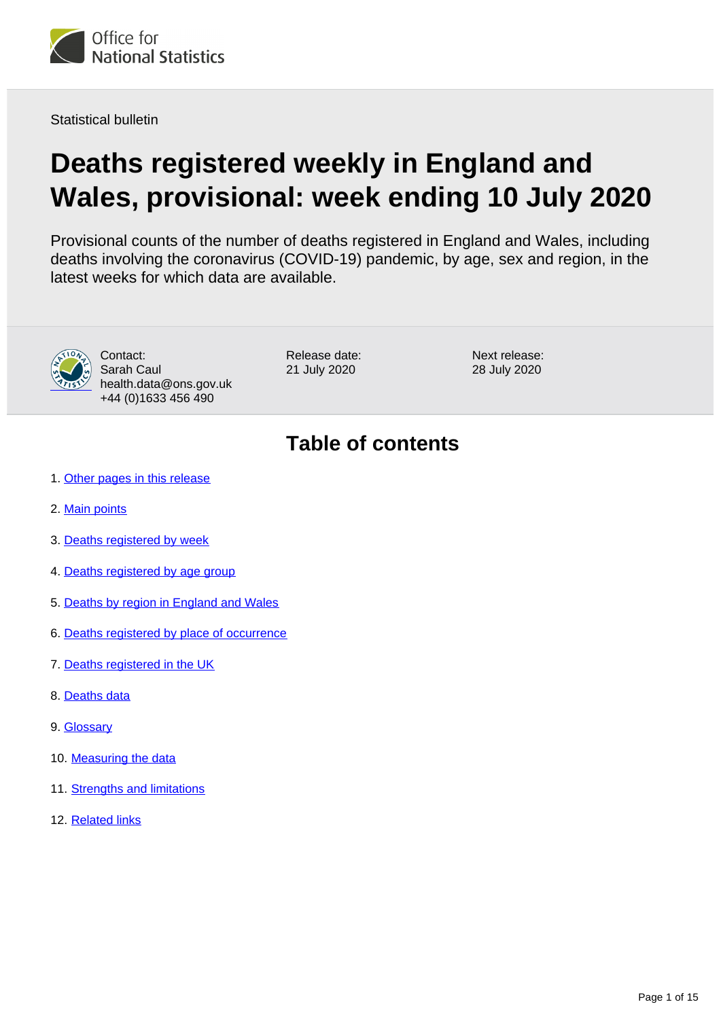<span id="page-0-0"></span>

Statistical bulletin

# **Deaths registered weekly in England and Wales, provisional: week ending 10 July 2020**

Provisional counts of the number of deaths registered in England and Wales, including deaths involving the coronavirus (COVID-19) pandemic, by age, sex and region, in the latest weeks for which data are available.



Contact: Sarah Caul health.data@ons.gov.uk +44 (0)1633 456 490

Release date: 21 July 2020

Next release: 28 July 2020

## **Table of contents**

- 1. [Other pages in this release](#page-1-0)
- 2. [Main points](#page-1-1)
- 3. [Deaths registered by week](#page-1-2)
- 4. [Deaths registered by age group](#page-3-0)
- 5. [Deaths by region in England and Wales](#page-4-0)
- 6. [Deaths registered by place of occurrence](#page-6-0)
- 7. [Deaths registered in the UK](#page-10-0)
- 8. [Deaths data](#page-11-0)
- 9. [Glossary](#page-11-1)
- 10. [Measuring the data](#page-11-2)
- 11. [Strengths and limitations](#page-14-0)
- 12. [Related links](#page-14-1)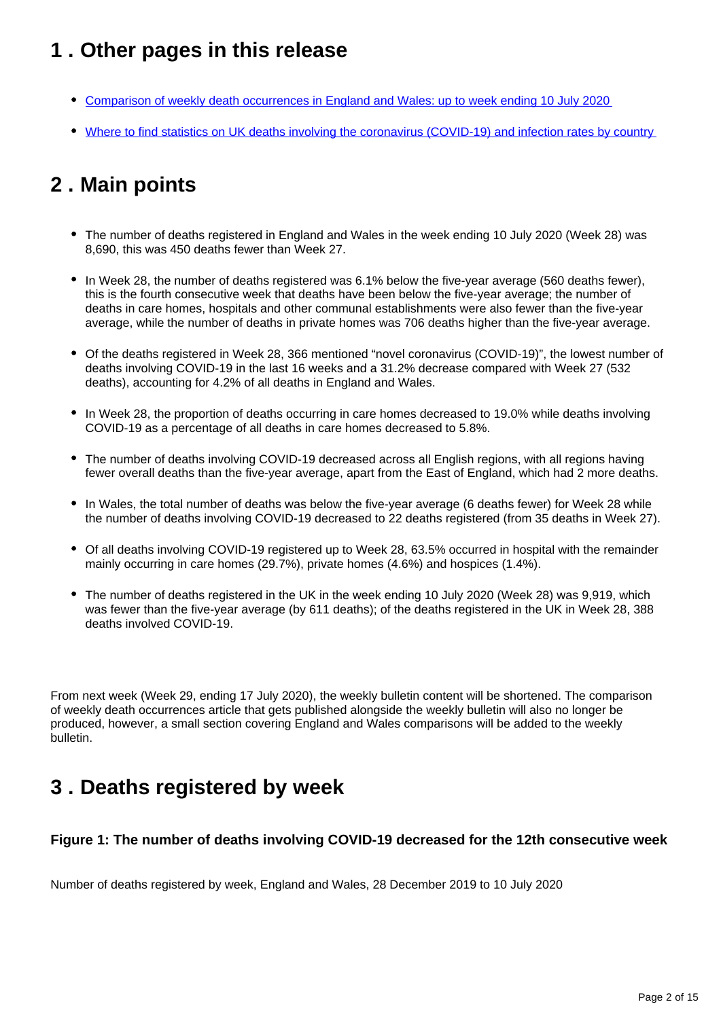## <span id="page-1-0"></span>**1 . Other pages in this release**

- [Comparison of weekly death occurrences in England and Wales: up to week ending 10 July 2020](https://www.ons.gov.uk/peoplepopulationandcommunity/healthandsocialcare/causesofdeath/articles/comparisonofweeklydeathoccurrencesinenglandandwales/uptoweekending10july2020)
- [Where to find statistics on UK deaths involving the coronavirus \(COVID-19\) and infection rates by country](https://www.ons.gov.uk/peoplepopulationandcommunity/birthsdeathsandmarriages/deaths/articles/wheretofindstatisticsonukdeathsinvolvingthecoronaviruscovid19andinfectionratesbycountry/latest)

## <span id="page-1-1"></span>**2 . Main points**

- The number of deaths registered in England and Wales in the week ending 10 July 2020 (Week 28) was 8,690, this was 450 deaths fewer than Week 27.
- In Week 28, the number of deaths registered was 6.1% below the five-year average (560 deaths fewer), this is the fourth consecutive week that deaths have been below the five-year average; the number of deaths in care homes, hospitals and other communal establishments were also fewer than the five-year average, while the number of deaths in private homes was 706 deaths higher than the five-year average.
- Of the deaths registered in Week 28, 366 mentioned "novel coronavirus (COVID-19)", the lowest number of deaths involving COVID-19 in the last 16 weeks and a 31.2% decrease compared with Week 27 (532 deaths), accounting for 4.2% of all deaths in England and Wales.
- In Week 28, the proportion of deaths occurring in care homes decreased to 19.0% while deaths involving COVID-19 as a percentage of all deaths in care homes decreased to 5.8%.
- The number of deaths involving COVID-19 decreased across all English regions, with all regions having fewer overall deaths than the five-year average, apart from the East of England, which had 2 more deaths.
- In Wales, the total number of deaths was below the five-year average (6 deaths fewer) for Week 28 while the number of deaths involving COVID-19 decreased to 22 deaths registered (from 35 deaths in Week 27).
- Of all deaths involving COVID-19 registered up to Week 28, 63.5% occurred in hospital with the remainder mainly occurring in care homes (29.7%), private homes (4.6%) and hospices (1.4%).
- The number of deaths registered in the UK in the week ending 10 July 2020 (Week 28) was 9,919, which was fewer than the five-year average (by 611 deaths); of the deaths registered in the UK in Week 28, 388 deaths involved COVID-19.

From next week (Week 29, ending 17 July 2020), the weekly bulletin content will be shortened. The comparison of weekly death occurrences article that gets published alongside the weekly bulletin will also no longer be produced, however, a small section covering England and Wales comparisons will be added to the weekly bulletin.

### <span id="page-1-2"></span>**3 . Deaths registered by week**

#### **Figure 1: The number of deaths involving COVID-19 decreased for the 12th consecutive week**

Number of deaths registered by week, England and Wales, 28 December 2019 to 10 July 2020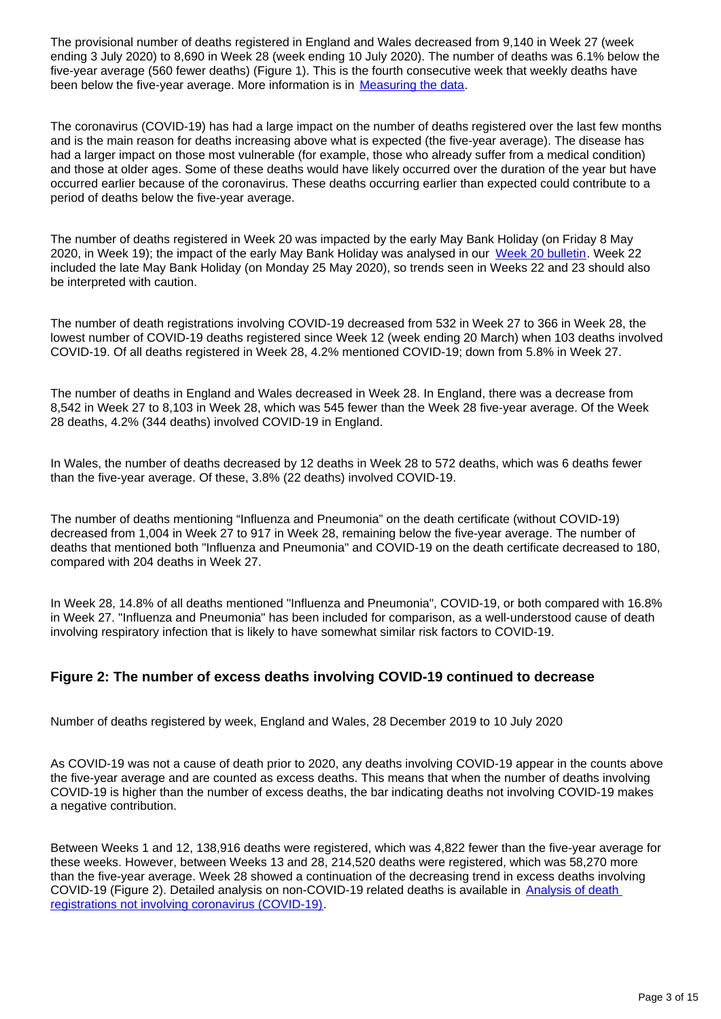The provisional number of deaths registered in England and Wales decreased from 9,140 in Week 27 (week ending 3 July 2020) to 8,690 in Week 28 (week ending 10 July 2020). The number of deaths was 6.1% below the five-year average (560 fewer deaths) (Figure 1). This is the fourth consecutive week that weekly deaths have been below the five-year average. More information is in [Measuring the data.](https://www.ons.gov.uk/peoplepopulationandcommunity/birthsdeathsandmarriages/deaths/bulletins/deathsregisteredweeklyinenglandandwalesprovisional/weekending10july2020#measuring-the-data)

The coronavirus (COVID-19) has had a large impact on the number of deaths registered over the last few months and is the main reason for deaths increasing above what is expected (the five-year average). The disease has had a larger impact on those most vulnerable (for example, those who already suffer from a medical condition) and those at older ages. Some of these deaths would have likely occurred over the duration of the year but have occurred earlier because of the coronavirus. These deaths occurring earlier than expected could contribute to a period of deaths below the five-year average.

The number of deaths registered in Week 20 was impacted by the early May Bank Holiday (on Friday 8 May 2020, in Week 19); the impact of the early May Bank Holiday was analysed in our [Week 20 bulletin.](https://www.ons.gov.uk/peoplepopulationandcommunity/birthsdeathsandmarriages/deaths/bulletins/deathsregisteredweeklyinenglandandwalesprovisional/weekending15may2020#deaths-registered-by-week) Week 22 included the late May Bank Holiday (on Monday 25 May 2020), so trends seen in Weeks 22 and 23 should also be interpreted with caution.

The number of death registrations involving COVID-19 decreased from 532 in Week 27 to 366 in Week 28, the lowest number of COVID-19 deaths registered since Week 12 (week ending 20 March) when 103 deaths involved COVID-19. Of all deaths registered in Week 28, 4.2% mentioned COVID-19; down from 5.8% in Week 27.

The number of deaths in England and Wales decreased in Week 28. In England, there was a decrease from 8,542 in Week 27 to 8,103 in Week 28, which was 545 fewer than the Week 28 five-year average. Of the Week 28 deaths, 4.2% (344 deaths) involved COVID-19 in England.

In Wales, the number of deaths decreased by 12 deaths in Week 28 to 572 deaths, which was 6 deaths fewer than the five-year average. Of these, 3.8% (22 deaths) involved COVID-19.

The number of deaths mentioning "Influenza and Pneumonia" on the death certificate (without COVID-19) decreased from 1,004 in Week 27 to 917 in Week 28, remaining below the five-year average. The number of deaths that mentioned both "Influenza and Pneumonia" and COVID-19 on the death certificate decreased to 180, compared with 204 deaths in Week 27.

In Week 28, 14.8% of all deaths mentioned "Influenza and Pneumonia", COVID-19, or both compared with 16.8% in Week 27. "Influenza and Pneumonia" has been included for comparison, as a well-understood cause of death involving respiratory infection that is likely to have somewhat similar risk factors to COVID-19.

#### **Figure 2: The number of excess deaths involving COVID-19 continued to decrease**

Number of deaths registered by week, England and Wales, 28 December 2019 to 10 July 2020

As COVID-19 was not a cause of death prior to 2020, any deaths involving COVID-19 appear in the counts above the five-year average and are counted as excess deaths. This means that when the number of deaths involving COVID-19 is higher than the number of excess deaths, the bar indicating deaths not involving COVID-19 makes a negative contribution.

Between Weeks 1 and 12, 138,916 deaths were registered, which was 4,822 fewer than the five-year average for these weeks. However, between Weeks 13 and 28, 214,520 deaths were registered, which was 58,270 more than the five-year average. Week 28 showed a continuation of the decreasing trend in excess deaths involving COVID-19 (Figure 2). Detailed analysis on non-COVID-19 related deaths is available in [Analysis of death](https://www.ons.gov.uk/peoplepopulationandcommunity/birthsdeathsandmarriages/deaths/articles/analysisofdeathregistrationsnotinvolvingcoronaviruscovid19englandandwales28december2019to1may2020/technicalannex)  [registrations not involving coronavirus \(COVID-19\)](https://www.ons.gov.uk/peoplepopulationandcommunity/birthsdeathsandmarriages/deaths/articles/analysisofdeathregistrationsnotinvolvingcoronaviruscovid19englandandwales28december2019to1may2020/technicalannex).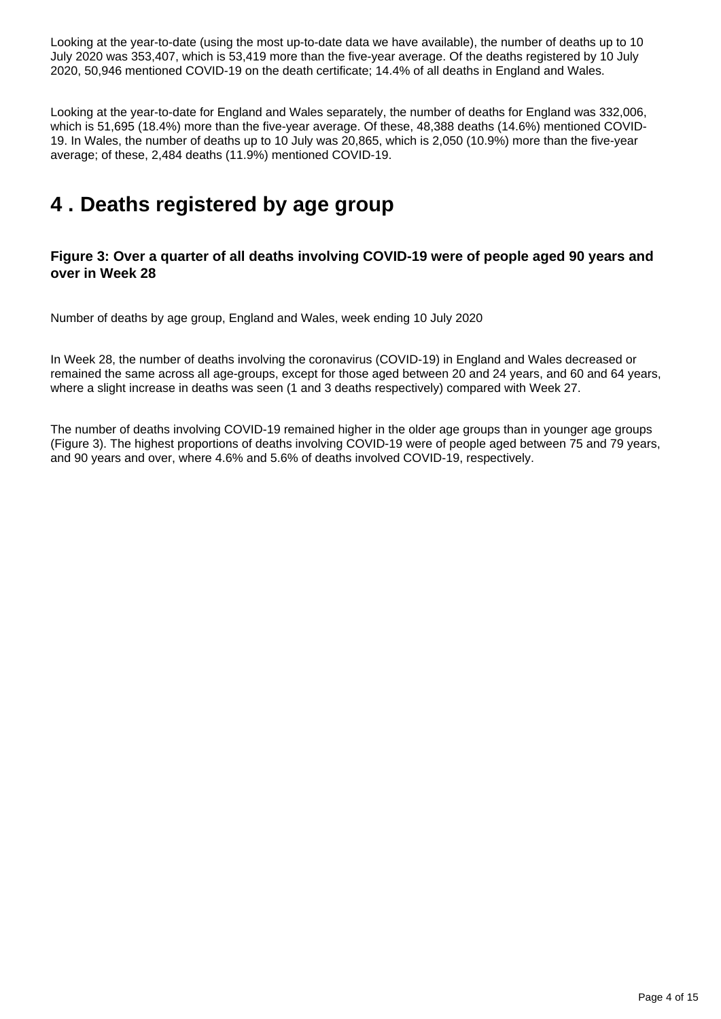Looking at the year-to-date (using the most up-to-date data we have available), the number of deaths up to 10 July 2020 was 353,407, which is 53,419 more than the five-year average. Of the deaths registered by 10 July 2020, 50,946 mentioned COVID-19 on the death certificate; 14.4% of all deaths in England and Wales.

Looking at the year-to-date for England and Wales separately, the number of deaths for England was 332,006, which is 51,695 (18.4%) more than the five-year average. Of these, 48,388 deaths (14.6%) mentioned COVID-19. In Wales, the number of deaths up to 10 July was 20,865, which is 2,050 (10.9%) more than the five-year average; of these, 2,484 deaths (11.9%) mentioned COVID-19.

### <span id="page-3-0"></span>**4 . Deaths registered by age group**

#### **Figure 3: Over a quarter of all deaths involving COVID-19 were of people aged 90 years and over in Week 28**

Number of deaths by age group, England and Wales, week ending 10 July 2020

In Week 28, the number of deaths involving the coronavirus (COVID-19) in England and Wales decreased or remained the same across all age-groups, except for those aged between 20 and 24 years, and 60 and 64 years, where a slight increase in deaths was seen (1 and 3 deaths respectively) compared with Week 27.

The number of deaths involving COVID-19 remained higher in the older age groups than in younger age groups (Figure 3). The highest proportions of deaths involving COVID-19 were of people aged between 75 and 79 years, and 90 years and over, where 4.6% and 5.6% of deaths involved COVID-19, respectively.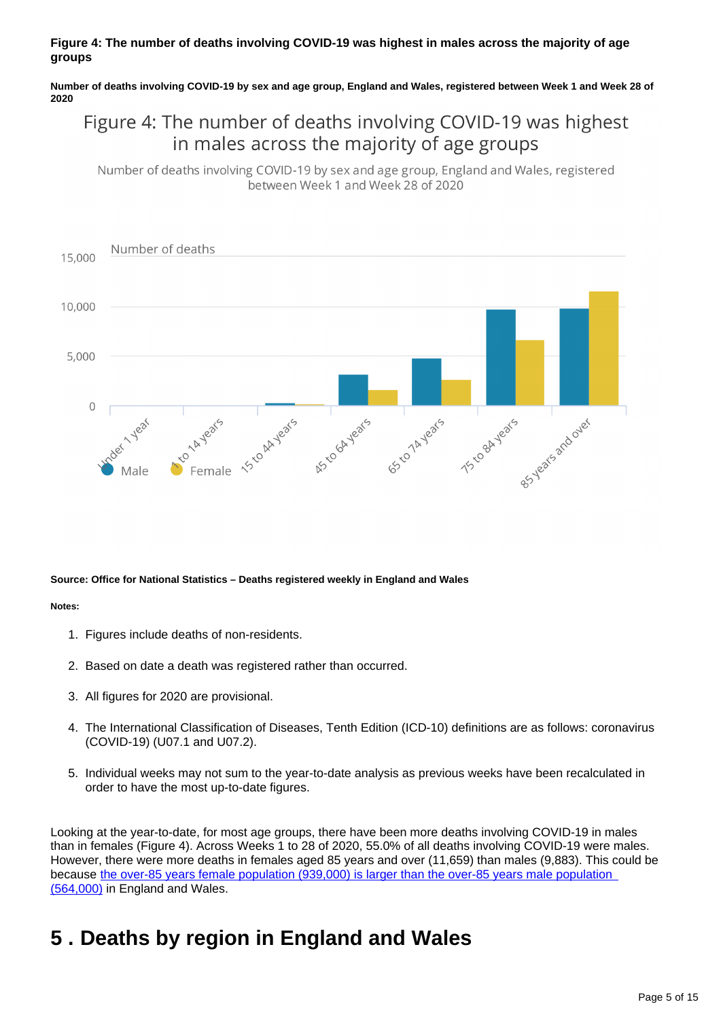#### **Figure 4: The number of deaths involving COVID-19 was highest in males across the majority of age groups**

**Number of deaths involving COVID-19 by sex and age group, England and Wales, registered between Week 1 and Week 28 of 2020**

### Figure 4: The number of deaths involving COVID-19 was highest in males across the majority of age groups

Number of deaths involving COVID-19 by sex and age group, England and Wales, registered between Week 1 and Week 28 of 2020



#### **Source: Office for National Statistics – Deaths registered weekly in England and Wales**

#### **Notes:**

- 1. Figures include deaths of non-residents.
- 2. Based on date a death was registered rather than occurred.
- 3. All figures for 2020 are provisional.
- 4. The International Classification of Diseases, Tenth Edition (ICD-10) definitions are as follows: coronavirus (COVID-19) (U07.1 and U07.2).
- 5. Individual weeks may not sum to the year-to-date analysis as previous weeks have been recalculated in order to have the most up-to-date figures.

Looking at the year-to-date, for most age groups, there have been more deaths involving COVID-19 in males than in females (Figure 4). Across Weeks 1 to 28 of 2020, 55.0% of all deaths involving COVID-19 were males. However, there were more deaths in females aged 85 years and over (11,659) than males (9,883). This could be because [the over-85 years female population \(939,000\) is larger than the over-85 years male population](https://www.ons.gov.uk/peoplepopulationandcommunity/populationandmigration/populationprojections/datasets/2014basednationalpopulationprojectionstableofcontents)  [\(564,000\)](https://www.ons.gov.uk/peoplepopulationandcommunity/populationandmigration/populationprojections/datasets/2014basednationalpopulationprojectionstableofcontents) in England and Wales.

### <span id="page-4-0"></span>**5 . Deaths by region in England and Wales**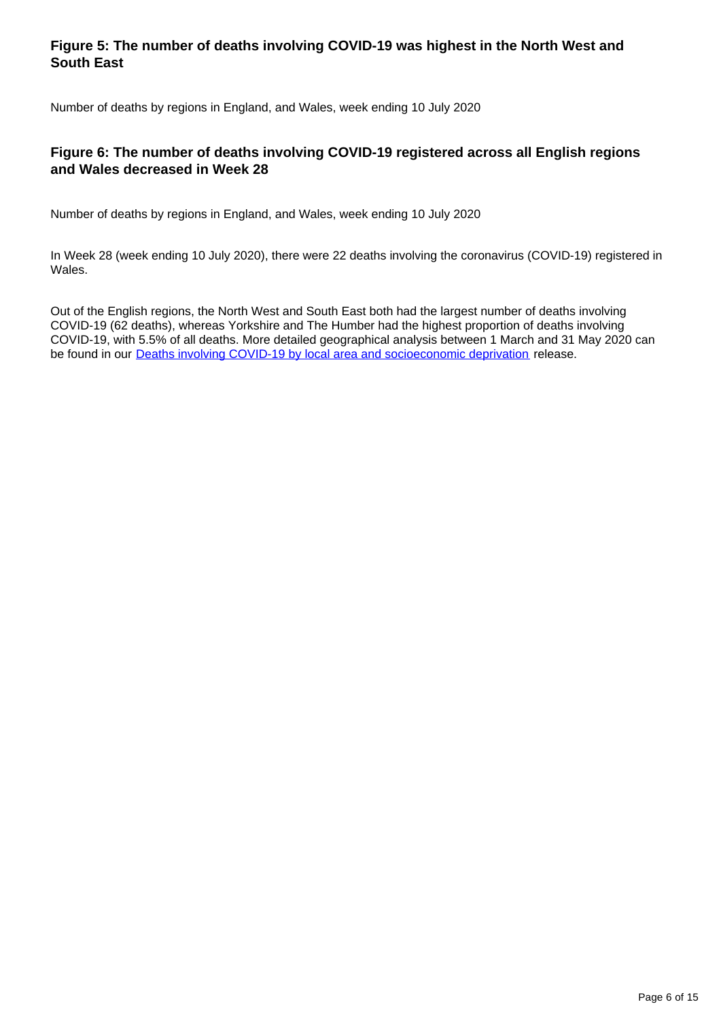#### **Figure 5: The number of deaths involving COVID-19 was highest in the North West and South East**

Number of deaths by regions in England, and Wales, week ending 10 July 2020

#### **Figure 6: The number of deaths involving COVID-19 registered across all English regions and Wales decreased in Week 28**

Number of deaths by regions in England, and Wales, week ending 10 July 2020

In Week 28 (week ending 10 July 2020), there were 22 deaths involving the coronavirus (COVID-19) registered in Wales.

Out of the English regions, the North West and South East both had the largest number of deaths involving COVID-19 (62 deaths), whereas Yorkshire and The Humber had the highest proportion of deaths involving COVID-19, with 5.5% of all deaths. More detailed geographical analysis between 1 March and 31 May 2020 can be found in our **[Deaths involving COVID-19 by local area and socioeconomic deprivation](https://www.ons.gov.uk/peoplepopulationandcommunity/birthsdeathsandmarriages/deaths/bulletins/deathsinvolvingcovid19bylocalareasanddeprivation/deathsoccurringbetween1marchand31may2020)** release.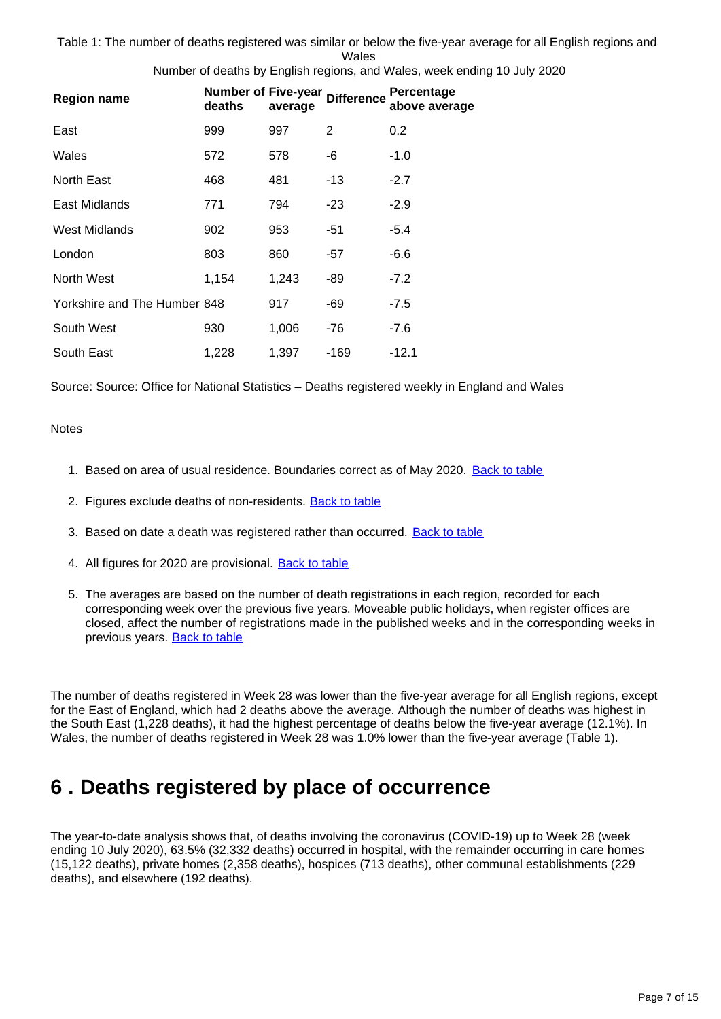Table 1: The number of deaths registered was similar or below the five-year average for all English regions and Wales

Number of deaths by English regions, and Wales, week ending 10 July 2020

| <b>Region name</b>           | <b>Number of Five-year</b><br>deaths | average | <b>Difference</b> | Percentage<br>above average |
|------------------------------|--------------------------------------|---------|-------------------|-----------------------------|
| East                         | 999                                  | 997     | 2                 | 0.2                         |
| Wales                        | 572                                  | 578     | -6                | $-1.0$                      |
| North East                   | 468                                  | 481     | -13               | $-2.7$                      |
| East Midlands                | 771                                  | 794     | -23               | $-2.9$                      |
| West Midlands                | 902                                  | 953     | -51               | -5.4                        |
| London                       | 803                                  | 860     | -57               | $-6.6$                      |
| North West                   | 1,154                                | 1,243   | -89               | $-7.2$                      |
| Yorkshire and The Humber 848 |                                      | 917     | -69               | $-7.5$                      |
| South West                   | 930                                  | 1,006   | -76               | -7.6                        |
| South East                   | 1,228                                | 1,397   | -169              | $-12.1$                     |

Source: Source: Office for National Statistics – Deaths registered weekly in England and Wales

#### **Notes**

- 1. Based on area of usual residence. Boundaries correct as of May 2020. [Back to table](#page-0-0)
- 2. Figures exclude deaths of non-residents. **[Back to table](#page-0-0)**
- 3. Based on date a death was registered rather than occurred. [Back to table](#page-0-0)
- 4. All figures for 2020 are provisional. **[Back to table](#page-0-0)**
- 5. The averages are based on the number of death registrations in each region, recorded for each corresponding week over the previous five years. Moveable public holidays, when register offices are closed, affect the number of registrations made in the published weeks and in the corresponding weeks in previous years. [Back to table](#page-0-0)

The number of deaths registered in Week 28 was lower than the five-year average for all English regions, except for the East of England, which had 2 deaths above the average. Although the number of deaths was highest in the South East (1,228 deaths), it had the highest percentage of deaths below the five-year average (12.1%). In Wales, the number of deaths registered in Week 28 was 1.0% lower than the five-year average (Table 1).

### <span id="page-6-0"></span>**6 . Deaths registered by place of occurrence**

The year-to-date analysis shows that, of deaths involving the coronavirus (COVID-19) up to Week 28 (week ending 10 July 2020), 63.5% (32,332 deaths) occurred in hospital, with the remainder occurring in care homes (15,122 deaths), private homes (2,358 deaths), hospices (713 deaths), other communal establishments (229 deaths), and elsewhere (192 deaths).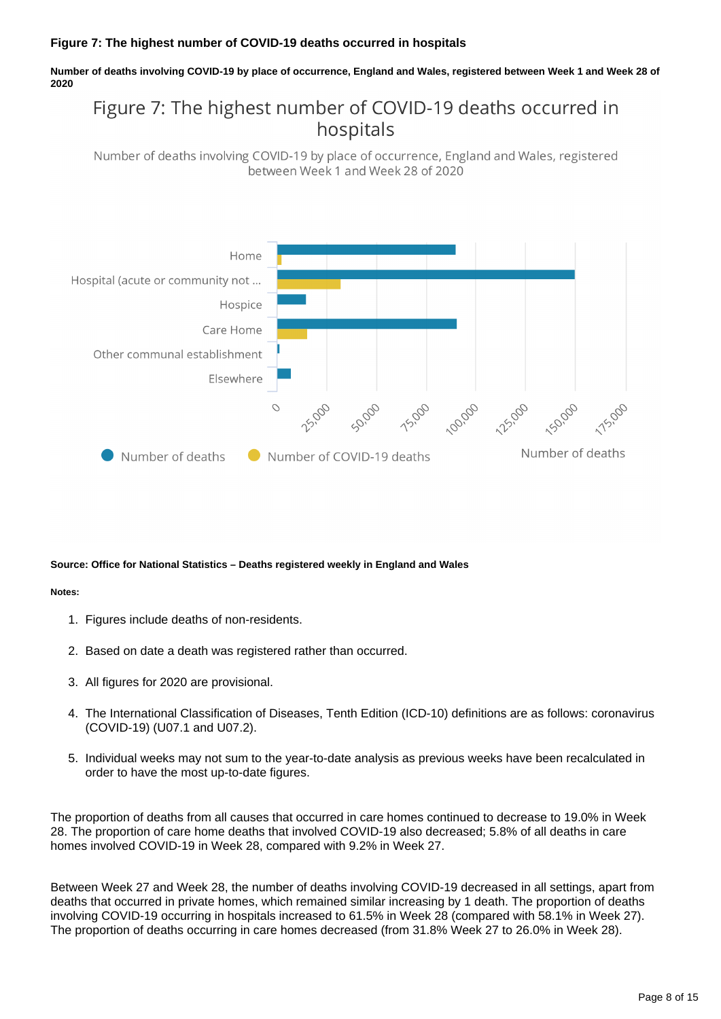#### **Figure 7: The highest number of COVID-19 deaths occurred in hospitals**

**Number of deaths involving COVID-19 by place of occurrence, England and Wales, registered between Week 1 and Week 28 of 2020**

### Figure 7: The highest number of COVID-19 deaths occurred in hospitals

Number of deaths involving COVID-19 by place of occurrence, England and Wales, registered between Week 1 and Week 28 of 2020



#### **Source: Office for National Statistics – Deaths registered weekly in England and Wales**

#### **Notes:**

- 1. Figures include deaths of non-residents.
- 2. Based on date a death was registered rather than occurred.
- 3. All figures for 2020 are provisional.
- 4. The International Classification of Diseases, Tenth Edition (ICD-10) definitions are as follows: coronavirus (COVID-19) (U07.1 and U07.2).
- 5. Individual weeks may not sum to the year-to-date analysis as previous weeks have been recalculated in order to have the most up-to-date figures.

The proportion of deaths from all causes that occurred in care homes continued to decrease to 19.0% in Week 28. The proportion of care home deaths that involved COVID-19 also decreased; 5.8% of all deaths in care homes involved COVID-19 in Week 28, compared with 9.2% in Week 27.

Between Week 27 and Week 28, the number of deaths involving COVID-19 decreased in all settings, apart from deaths that occurred in private homes, which remained similar increasing by 1 death. The proportion of deaths involving COVID-19 occurring in hospitals increased to 61.5% in Week 28 (compared with 58.1% in Week 27). The proportion of deaths occurring in care homes decreased (from 31.8% Week 27 to 26.0% in Week 28).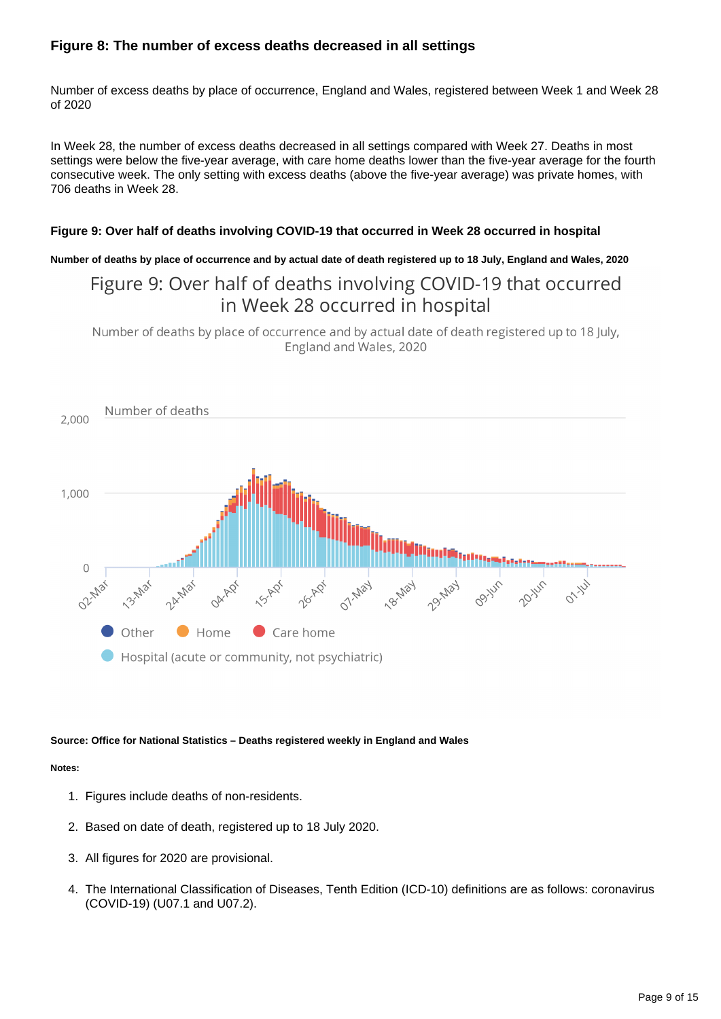#### **Figure 8: The number of excess deaths decreased in all settings**

Number of excess deaths by place of occurrence, England and Wales, registered between Week 1 and Week 28 of 2020

In Week 28, the number of excess deaths decreased in all settings compared with Week 27. Deaths in most settings were below the five-year average, with care home deaths lower than the five-year average for the fourth consecutive week. The only setting with excess deaths (above the five-year average) was private homes, with 706 deaths in Week 28.

#### **Figure 9: Over half of deaths involving COVID-19 that occurred in Week 28 occurred in hospital**

**Number of deaths by place of occurrence and by actual date of death registered up to 18 July, England and Wales, 2020**

### Figure 9: Over half of deaths involving COVID-19 that occurred in Week 28 occurred in hospital

Number of deaths by place of occurrence and by actual date of death registered up to 18 July, England and Wales, 2020



#### **Source: Office for National Statistics – Deaths registered weekly in England and Wales**

#### **Notes:**

- 1. Figures include deaths of non-residents.
- 2. Based on date of death, registered up to 18 July 2020.
- 3. All figures for 2020 are provisional.
- 4. The International Classification of Diseases, Tenth Edition (ICD-10) definitions are as follows: coronavirus (COVID-19) (U07.1 and U07.2).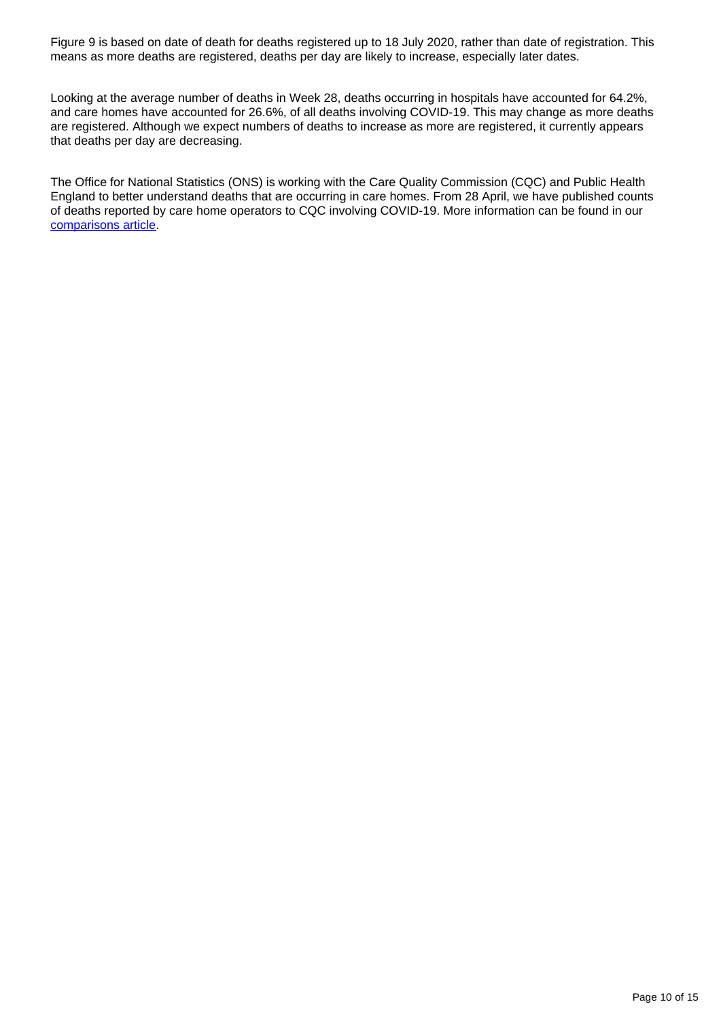Figure 9 is based on date of death for deaths registered up to 18 July 2020, rather than date of registration. This means as more deaths are registered, deaths per day are likely to increase, especially later dates.

Looking at the average number of deaths in Week 28, deaths occurring in hospitals have accounted for 64.2%, and care homes have accounted for 26.6%, of all deaths involving COVID-19. This may change as more deaths are registered. Although we expect numbers of deaths to increase as more are registered, it currently appears that deaths per day are decreasing.

The Office for National Statistics (ONS) is working with the Care Quality Commission (CQC) and Public Health England to better understand deaths that are occurring in care homes. From 28 April, we have published counts of deaths reported by care home operators to CQC involving COVID-19. More information can be found in our [comparisons article.](https://www.ons.gov.uk/peoplepopulationandcommunity/healthandsocialcare/causesofdeath/articles/comparisonofweeklydeathoccurrencesinenglandandwales/latest)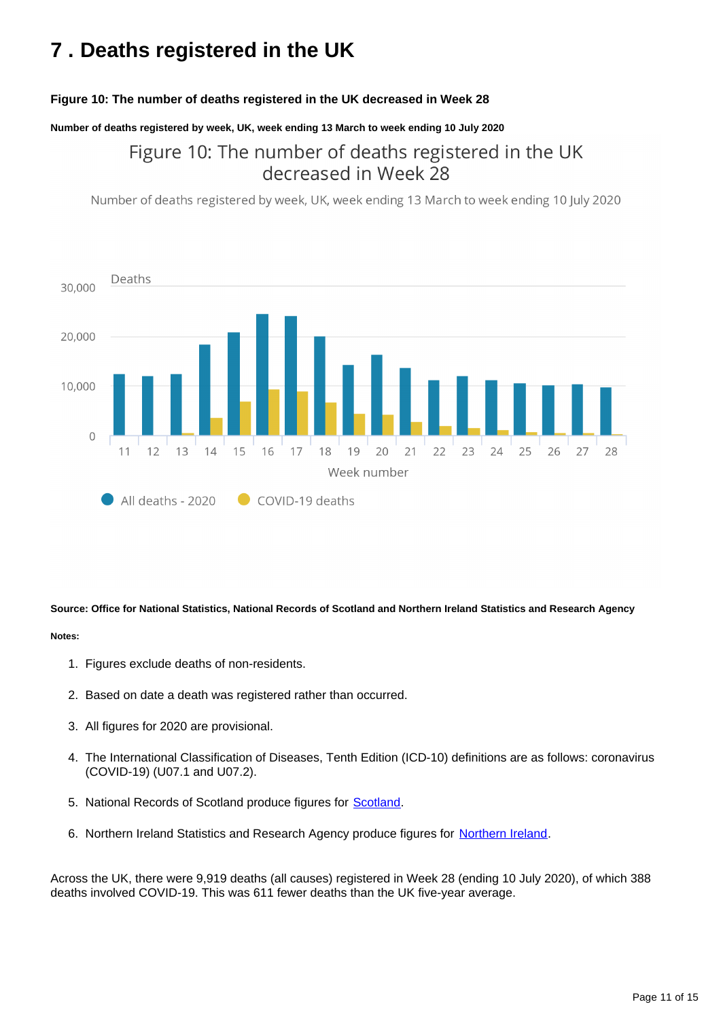## <span id="page-10-0"></span>**7 . Deaths registered in the UK**

#### **Figure 10: The number of deaths registered in the UK decreased in Week 28**

**Number of deaths registered by week, UK, week ending 13 March to week ending 10 July 2020**

### Figure 10: The number of deaths registered in the UK decreased in Week 28

Number of deaths registered by week, UK, week ending 13 March to week ending 10 July 2020



**Source: Office for National Statistics, National Records of Scotland and Northern Ireland Statistics and Research Agency**

#### **Notes:**

- 1. Figures exclude deaths of non-residents.
- 2. Based on date a death was registered rather than occurred.
- 3. All figures for 2020 are provisional.
- 4. The International Classification of Diseases, Tenth Edition (ICD-10) definitions are as follows: coronavirus (COVID-19) (U07.1 and U07.2).
- 5. National Records of Scotland produce figures for **Scotland**.
- 6. [Northern Ireland](https://www.nisra.gov.uk/publications/weekly-deaths) Statistics and Research Agency produce figures for Northern Ireland.

Across the UK, there were 9,919 deaths (all causes) registered in Week 28 (ending 10 July 2020), of which 388 deaths involved COVID-19. This was 611 fewer deaths than the UK five-year average.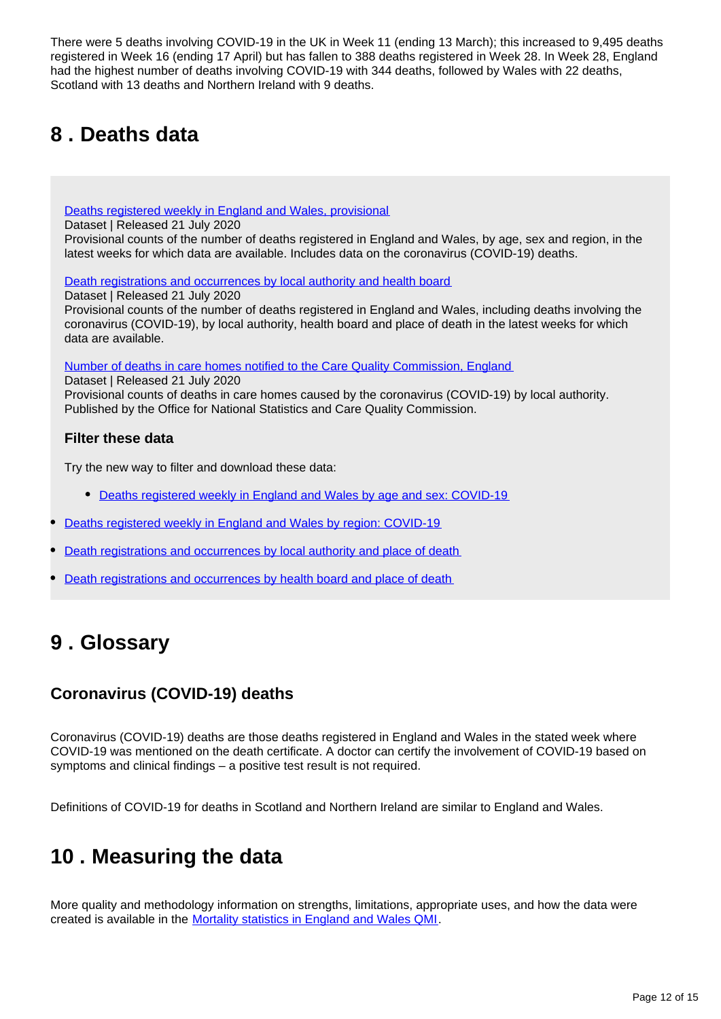There were 5 deaths involving COVID-19 in the UK in Week 11 (ending 13 March); this increased to 9,495 deaths registered in Week 16 (ending 17 April) but has fallen to 388 deaths registered in Week 28. In Week 28, England had the highest number of deaths involving COVID-19 with 344 deaths, followed by Wales with 22 deaths, Scotland with 13 deaths and Northern Ireland with 9 deaths.

## <span id="page-11-0"></span>**8 . Deaths data**

[Deaths registered weekly in England and Wales, provisional](https://www.ons.gov.uk/peoplepopulationandcommunity/birthsdeathsandmarriages/deaths/datasets/weeklyprovisionalfiguresondeathsregisteredinenglandandwales)

Dataset | Released 21 July 2020

Provisional counts of the number of deaths registered in England and Wales, by age, sex and region, in the latest weeks for which data are available. Includes data on the coronavirus (COVID-19) deaths.

[Death registrations and occurrences by local authority and health board](https://www.ons.gov.uk/peoplepopulationandcommunity/healthandsocialcare/causesofdeath/datasets/deathregistrationsandoccurrencesbylocalauthorityandhealthboard)

Dataset | Released 21 July 2020 Provisional counts of the number of deaths registered in England and Wales, including deaths involving the coronavirus (COVID-19), by local authority, health board and place of death in the latest weeks for which data are available.

[Number of deaths in care homes notified to the Care Quality Commission, England](https://www.ons.gov.uk/peoplepopulationandcommunity/birthsdeathsandmarriages/deaths/datasets/numberofdeathsincarehomesnotifiedtothecarequalitycommissionengland)

Dataset | Released 21 July 2020

Provisional counts of deaths in care homes caused by the coronavirus (COVID-19) by local authority. Published by the Office for National Statistics and Care Quality Commission.

#### **Filter these data**

Try the new way to filter and download these data:

- [Deaths registered weekly in England and Wales by age and sex: COVID-19](https://www.ons.gov.uk/datasets/weekly-deaths-age-sex?%3Auri=weekly-deaths-age-sex%2F)
- [Deaths registered weekly in England and Wales by region: COVID-19](https://www.ons.gov.uk/datasets/weekly-deaths-region/)
- [Death registrations and occurrences by local authority and place of death](https://www.ons.gov.uk/datasets/weekly-deaths-local-authority/)
- [Death registrations and occurrences by health board and place of death](https://www.ons.gov.uk/datasets/weekly-deaths-health-board/editions/time-series/versions/7)

### <span id="page-11-1"></span>**9 . Glossary**

### **Coronavirus (COVID-19) deaths**

Coronavirus (COVID-19) deaths are those deaths registered in England and Wales in the stated week where COVID-19 was mentioned on the death certificate. A doctor can certify the involvement of COVID-19 based on symptoms and clinical findings – a positive test result is not required.

Definitions of COVID-19 for deaths in Scotland and Northern Ireland are similar to England and Wales.

### <span id="page-11-2"></span>**10 . Measuring the data**

More quality and methodology information on strengths, limitations, appropriate uses, and how the data were created is available in the [Mortality statistics in England and Wales QMI.](https://www.ons.gov.uk/peoplepopulationandcommunity/birthsdeathsandmarriages/deaths/methodologies/mortalitystatisticsinenglandandwalesqmi)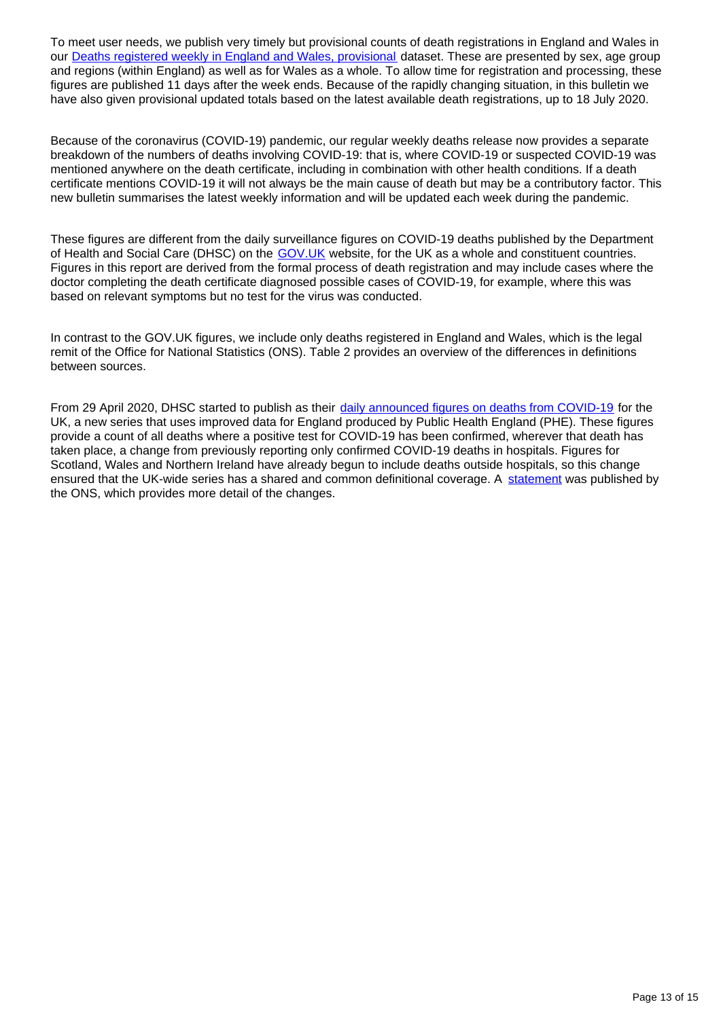To meet user needs, we publish very timely but provisional counts of death registrations in England and Wales in our **Deaths registered weekly in England and Wales, provisional dataset.** These are presented by sex, age group and regions (within England) as well as for Wales as a whole. To allow time for registration and processing, these figures are published 11 days after the week ends. Because of the rapidly changing situation, in this bulletin we have also given provisional updated totals based on the latest available death registrations, up to 18 July 2020.

Because of the coronavirus (COVID-19) pandemic, our regular weekly deaths release now provides a separate breakdown of the numbers of deaths involving COVID-19: that is, where COVID-19 or suspected COVID-19 was mentioned anywhere on the death certificate, including in combination with other health conditions. If a death certificate mentions COVID-19 it will not always be the main cause of death but may be a contributory factor. This new bulletin summarises the latest weekly information and will be updated each week during the pandemic.

These figures are different from the daily surveillance figures on COVID-19 deaths published by the Department of Health and Social Care (DHSC) on the GOV. UK website, for the UK as a whole and constituent countries. Figures in this report are derived from the formal process of death registration and may include cases where the doctor completing the death certificate diagnosed possible cases of COVID-19, for example, where this was based on relevant symptoms but no test for the virus was conducted.

In contrast to the GOV.UK figures, we include only deaths registered in England and Wales, which is the legal remit of the Office for National Statistics (ONS). Table 2 provides an overview of the differences in definitions between sources.

From 29 April 2020, DHSC started to publish as their [daily announced figures on deaths from COVID-19](https://www.gov.uk/guidance/coronavirus-covid-19-information-for-the-public) for the UK, a new series that uses improved data for England produced by Public Health England (PHE). These figures provide a count of all deaths where a positive test for COVID-19 has been confirmed, wherever that death has taken place, a change from previously reporting only confirmed COVID-19 deaths in hospitals. Figures for Scotland, Wales and Northern Ireland have already begun to include deaths outside hospitals, so this change ensured that the UK-wide series has a shared and common definitional coverage. A [statement](https://www.ons.gov.uk/news/statementsandletters/thedifferentusesoffiguresondeathsfromcovid19publishedbydhscandtheons) was published by the ONS, which provides more detail of the changes.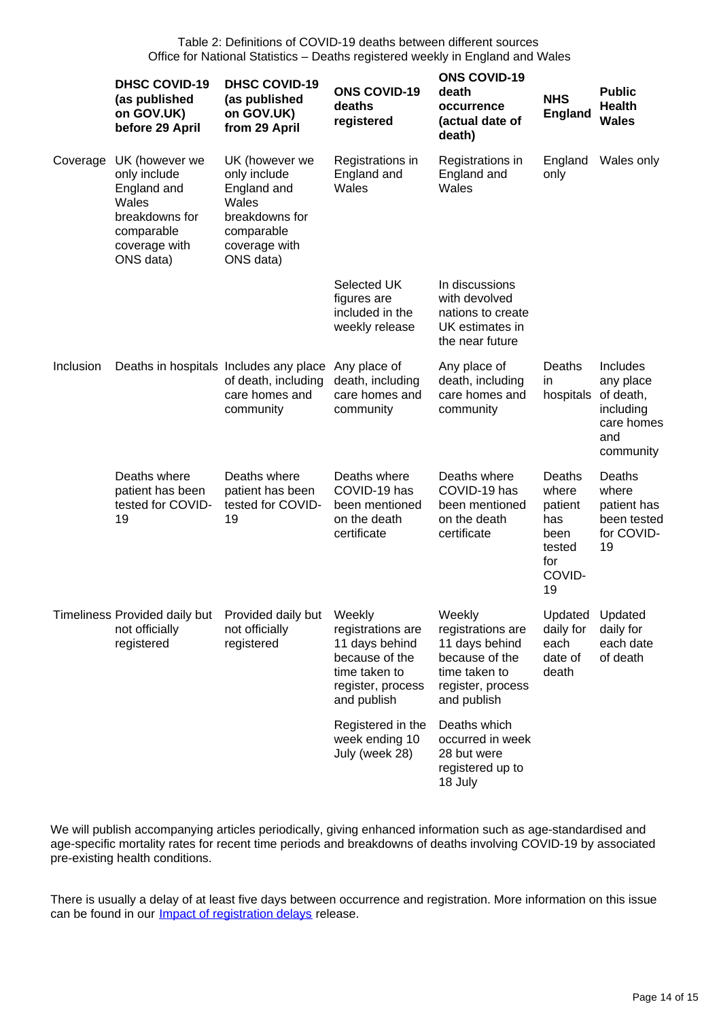|           | <b>DHSC COVID-19</b><br>(as published<br>on GOV.UK)<br>before 29 April                                               | <b>DHSC COVID-19</b><br>(as published<br>on GOV.UK)<br>from 29 April                                                 | <b>ONS COVID-19</b><br>deaths<br>registered                                                                | <b>ONS COVID-19</b><br>death<br>occurrence<br>(actual date of<br>death)                                              | <b>NHS</b><br><b>England</b>                                               | <b>Public</b><br><b>Health</b><br><b>Wales</b>                                    |
|-----------|----------------------------------------------------------------------------------------------------------------------|----------------------------------------------------------------------------------------------------------------------|------------------------------------------------------------------------------------------------------------|----------------------------------------------------------------------------------------------------------------------|----------------------------------------------------------------------------|-----------------------------------------------------------------------------------|
| Coverage  | UK (however we<br>only include<br>England and<br>Wales<br>breakdowns for<br>comparable<br>coverage with<br>ONS data) | UK (however we<br>only include<br>England and<br>Wales<br>breakdowns for<br>comparable<br>coverage with<br>ONS data) | Registrations in<br>England and<br>Wales                                                                   | Registrations in<br>England and<br>Wales                                                                             | England<br>only                                                            | Wales only                                                                        |
|           |                                                                                                                      |                                                                                                                      | Selected UK<br>figures are<br>included in the<br>weekly release                                            | In discussions<br>with devolved<br>nations to create<br>UK estimates in<br>the near future                           |                                                                            |                                                                                   |
| Inclusion | Deaths in hospitals Includes any place                                                                               | of death, including<br>care homes and<br>community                                                                   | Any place of<br>death, including<br>care homes and<br>community                                            | Any place of<br>death, including<br>care homes and<br>community                                                      | Deaths<br>in<br>hospitals                                                  | Includes<br>any place<br>of death,<br>including<br>care homes<br>and<br>community |
|           | Deaths where<br>patient has been<br>tested for COVID-<br>19                                                          | Deaths where<br>patient has been<br>tested for COVID-<br>19                                                          | Deaths where<br>COVID-19 has<br>been mentioned<br>on the death<br>certificate                              | Deaths where<br>COVID-19 has<br>been mentioned<br>on the death<br>certificate                                        | Deaths<br>where<br>patient<br>has<br>been<br>tested<br>for<br>COVID-<br>19 | Deaths<br>where<br>patient has<br>been tested<br>for COVID-<br>19                 |
|           | Timeliness Provided daily but Provided daily but Weekly<br>not officially<br>registered                              | not officially<br>registered                                                                                         | registrations are<br>11 days behind<br>because of the<br>time taken to<br>register, process<br>and publish | Weekly<br>registrations are<br>11 days behind<br>because of the<br>time taken to<br>register, process<br>and publish | Updated Updated<br>daily for<br>each<br>date of<br>death                   | daily for<br>each date<br>of death                                                |
|           |                                                                                                                      |                                                                                                                      | Registered in the<br>week ending 10<br>July (week 28)                                                      | Deaths which<br>occurred in week<br>28 but were<br>registered up to<br>18 July                                       |                                                                            |                                                                                   |

We will publish accompanying articles periodically, giving enhanced information such as age-standardised and age-specific mortality rates for recent time periods and breakdowns of deaths involving COVID-19 by associated pre-existing health conditions.

There is usually a delay of at least five days between occurrence and registration. More information on this issue can be found in our **[Impact of registration delays](https://www.ons.gov.uk/peoplepopulationandcommunity/birthsdeathsandmarriages/deaths/articles/impactofregistrationdelaysonmortalitystatisticsinenglandandwales/2018)** release.